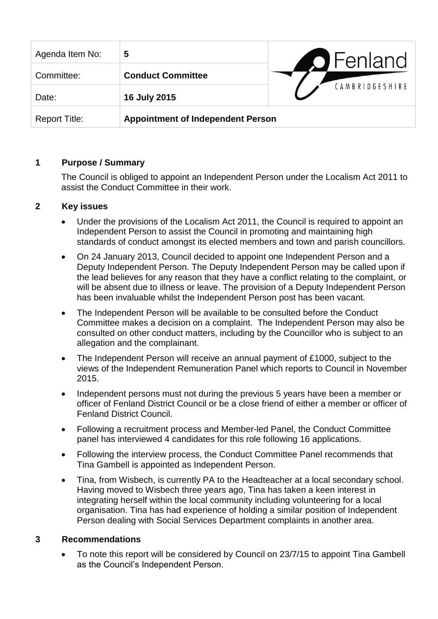| Agenda Item No:      | 5                                        | <b>O</b> Fenland |
|----------------------|------------------------------------------|------------------|
| Committee:           | <b>Conduct Committee</b>                 |                  |
| Date:                | 16 July 2015                             | CAMBRIDGESHIRE   |
| <b>Report Title:</b> | <b>Appointment of Independent Person</b> |                  |

## **1 Purpose / Summary**

The Council is obliged to appoint an Independent Person under the Localism Act 2011 to assist the Conduct Committee in their work.

## **2 Key issues**

- Under the provisions of the Localism Act 2011, the Council is required to appoint an Independent Person to assist the Council in promoting and maintaining high standards of conduct amongst its elected members and town and parish councillors.
- On 24 January 2013, Council decided to appoint one Independent Person and a Deputy Independent Person. The Deputy Independent Person may be called upon if the lead believes for any reason that they have a conflict relating to the complaint, or will be absent due to illness or leave. The provision of a Deputy Independent Person has been invaluable whilst the Independent Person post has been vacant.
- The Independent Person will be available to be consulted before the Conduct Committee makes a decision on a complaint. The Independent Person may also be consulted on other conduct matters, including by the Councillor who is subject to an allegation and the complainant.
- The Independent Person will receive an annual payment of £1000, subject to the views of the Independent Remuneration Panel which reports to Council in November 2015.
- Independent persons must not during the previous 5 years have been a member or officer of Fenland District Council or be a close friend of either a member or officer of Fenland District Council.
- Following a recruitment process and Member-led Panel, the Conduct Committee panel has interviewed 4 candidates for this role following 16 applications.
- Following the interview process, the Conduct Committee Panel recommends that Tina Gambell is appointed as Independent Person.
- Tina, from Wisbech, is currently PA to the Headteacher at a local secondary school. Having moved to Wisbech three years ago, Tina has taken a keen interest in integrating herself within the local community including volunteering for a local organisation. Tina has had experience of holding a similar position of Independent Person dealing with Social Services Department complaints in another area.

## **3 Recommendations**

 To note this report will be considered by Council on 23/7/15 to appoint Tina Gambell as the Council's Independent Person.